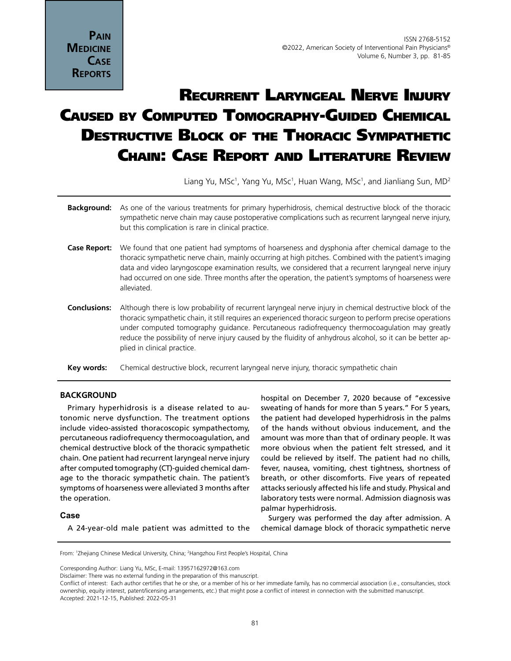**Pain MEDICINE Case Reports**

# Recurrent Laryngeal Nerve Injury Caused by Computed Tomography-Guided Chemical DESTRUCTIVE BLOCK OF THE THORACIC SYMPATHETIC Chain: Case Report and Literature Review

Liang Yu, MSc<sup>1</sup>, Yang Yu, MSc<sup>1</sup>, Huan Wang, MSc<sup>1</sup>, and Jianliang Sun, MD<sup>2</sup>

- **Background:** As one of the various treatments for primary hyperhidrosis, chemical destructive block of the thoracic sympathetic nerve chain may cause postoperative complications such as recurrent laryngeal nerve injury, but this complication is rare in clinical practice.
- **Case Report:** We found that one patient had symptoms of hoarseness and dysphonia after chemical damage to the thoracic sympathetic nerve chain, mainly occurring at high pitches. Combined with the patient's imaging data and video laryngoscope examination results, we considered that a recurrent laryngeal nerve injury had occurred on one side. Three months after the operation, the patient's symptoms of hoarseness were alleviated.
- **Conclusions:** Although there is low probability of recurrent laryngeal nerve injury in chemical destructive block of the thoracic sympathetic chain, it still requires an experienced thoracic surgeon to perform precise operations under computed tomography guidance. Percutaneous radiofrequency thermocoagulation may greatly reduce the possibility of nerve injury caused by the fluidity of anhydrous alcohol, so it can be better applied in clinical practice.
- Key words: Chemical destructive block, recurrent laryngeal nerve injury, thoracic sympathetic chain

# **BACKGROUND**

Primary hyperhidrosis is a disease related to autonomic nerve dysfunction. The treatment options include video-assisted thoracoscopic sympathectomy, percutaneous radiofrequency thermocoagulation, and chemical destructive block of the thoracic sympathetic chain. One patient had recurrent laryngeal nerve injury after computed tomography (CT)-guided chemical damage to the thoracic sympathetic chain. The patient's symptoms of hoarseness were alleviated 3 months after the operation.

#### **Case**

A 24-year-old male patient was admitted to the

hospital on December 7, 2020 because of "excessive sweating of hands for more than 5 years." For 5 years, the patient had developed hyperhidrosis in the palms of the hands without obvious inducement, and the amount was more than that of ordinary people. It was more obvious when the patient felt stressed, and it could be relieved by itself. The patient had no chills, fever, nausea, vomiting, chest tightness, shortness of breath, or other discomforts. Five years of repeated attacks seriously affected his life and study. Physical and laboratory tests were normal. Admission diagnosis was palmar hyperhidrosis.

Surgery was performed the day after admission. A chemical damage block of thoracic sympathetic nerve

From: <sup>1</sup>Zhejiang Chinese Medical University, China; <sup>2</sup>Hangzhou First People's Hospital, China

Corresponding Author: Liang Yu, MSc, E-mail: 13957162972@163.com

Disclaimer: There was no external funding in the preparation of this manuscript.

Conflict of interest: Each author certifies that he or she, or a member of his or her immediate family, has no commercial association (i.e., consultancies, stock ownership, equity interest, patent/licensing arrangements, etc.) that might pose a conflict of interest in connection with the submitted manuscript. Accepted: 2021-12-15, Published: 2022-05-31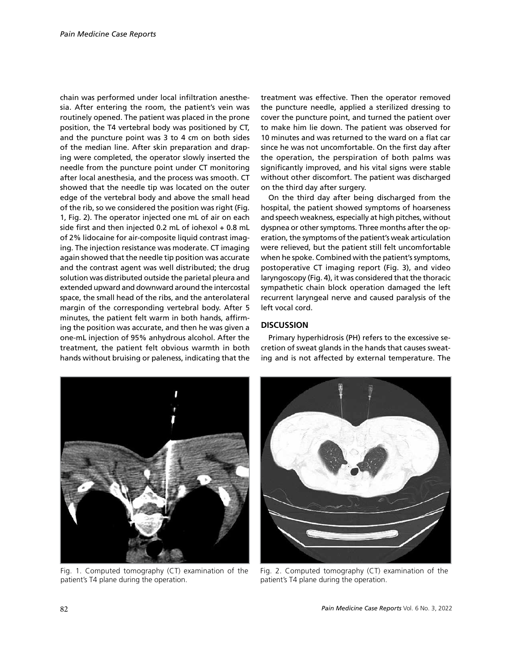chain was performed under local infiltration anesthesia. After entering the room, the patient's vein was routinely opened. The patient was placed in the prone position, the T4 vertebral body was positioned by CT, and the puncture point was 3 to 4 cm on both sides of the median line. After skin preparation and draping were completed, the operator slowly inserted the needle from the puncture point under CT monitoring after local anesthesia, and the process was smooth. CT showed that the needle tip was located on the outer edge of the vertebral body and above the small head of the rib, so we considered the position was right (Fig. 1, Fig. 2). The operator injected one mL of air on each side first and then injected 0.2 mL of iohexol + 0.8 mL of 2% lidocaine for air-composite liquid contrast imaging. The injection resistance was moderate. CT imaging again showed that the needle tip position was accurate and the contrast agent was well distributed; the drug solution was distributed outside the parietal pleura and extended upward and downward around the intercostal space, the small head of the ribs, and the anterolateral margin of the corresponding vertebral body. After 5 minutes, the patient felt warm in both hands, affirming the position was accurate, and then he was given a one-mL injection of 95% anhydrous alcohol. After the treatment, the patient felt obvious warmth in both hands without bruising or paleness, indicating that the

treatment was effective. Then the operator removed the puncture needle, applied a sterilized dressing to cover the puncture point, and turned the patient over to make him lie down. The patient was observed for 10 minutes and was returned to the ward on a flat car since he was not uncomfortable. On the first day after the operation, the perspiration of both palms was significantly improved, and his vital signs were stable without other discomfort. The patient was discharged on the third day after surgery.

On the third day after being discharged from the hospital, the patient showed symptoms of hoarseness and speech weakness, especially at high pitches, without dyspnea or other symptoms. Three months after the operation, the symptoms of the patient's weak articulation were relieved, but the patient still felt uncomfortable when he spoke. Combined with the patient's symptoms, postoperative CT imaging report (Fig. 3), and video laryngoscopy (Fig. 4), it was considered that the thoracic sympathetic chain block operation damaged the left recurrent laryngeal nerve and caused paralysis of the left vocal cord.

### **DISCUSSION**

Primary hyperhidrosis (PH) refers to the excessive secretion of sweat glands in the hands that causes sweating and is not affected by external temperature. The



Fig. 1. Computed tomography (CT) examination of the patient's T4 plane during the operation.



Fig. 2. Computed tomography (CT) examination of the patient's T4 plane during the operation.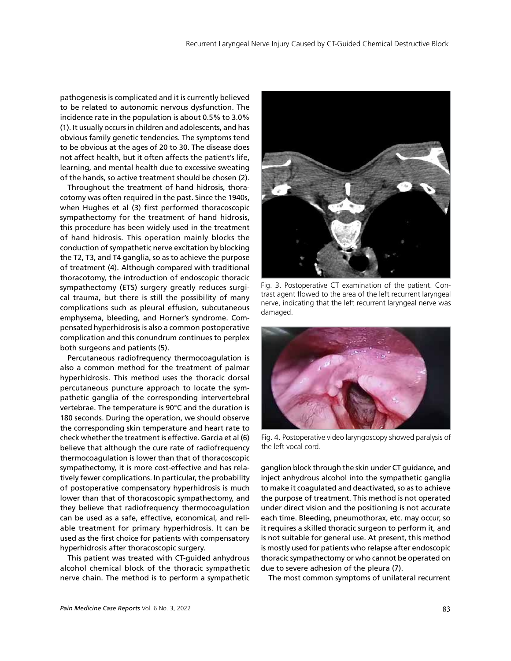pathogenesis is complicated and it is currently believed to be related to autonomic nervous dysfunction. The incidence rate in the population is about 0.5% to 3.0% (1). It usually occurs in children and adolescents, and has obvious family genetic tendencies. The symptoms tend to be obvious at the ages of 20 to 30. The disease does not affect health, but it often affects the patient's life, learning, and mental health due to excessive sweating of the hands, so active treatment should be chosen (2).

Throughout the treatment of hand hidrosis, thoracotomy was often required in the past. Since the 1940s, when Hughes et al (3) first performed thoracoscopic sympathectomy for the treatment of hand hidrosis, this procedure has been widely used in the treatment of hand hidrosis. This operation mainly blocks the conduction of sympathetic nerve excitation by blocking the T2, T3, and T4 ganglia, so as to achieve the purpose of treatment (4). Although compared with traditional thoracotomy, the introduction of endoscopic thoracic sympathectomy (ETS) surgery greatly reduces surgical trauma, but there is still the possibility of many complications such as pleural effusion, subcutaneous emphysema, bleeding, and Horner's syndrome. Compensated hyperhidrosis is also a common postoperative complication and this conundrum continues to perplex both surgeons and patients (5).

Percutaneous radiofrequency thermocoagulation is also a common method for the treatment of palmar hyperhidrosis. This method uses the thoracic dorsal percutaneous puncture approach to locate the sympathetic ganglia of the corresponding intervertebral vertebrae. The temperature is 90°C and the duration is 180 seconds. During the operation, we should observe the corresponding skin temperature and heart rate to check whether the treatment is effective. Garcia et al (6) believe that although the cure rate of radiofrequency thermocoagulation is lower than that of thoracoscopic sympathectomy, it is more cost-effective and has relatively fewer complications. In particular, the probability of postoperative compensatory hyperhidrosis is much lower than that of thoracoscopic sympathectomy, and they believe that radiofrequency thermocoagulation can be used as a safe, effective, economical, and reliable treatment for primary hyperhidrosis. It can be used as the first choice for patients with compensatory hyperhidrosis after thoracoscopic surgery.

This patient was treated with CT-guided anhydrous alcohol chemical block of the thoracic sympathetic nerve chain. The method is to perform a sympathetic



Fig. 3. Postoperative CT examination of the patient. Contrast agent flowed to the area of the left recurrent laryngeal nerve, indicating that the left recurrent laryngeal nerve was damaged.



Fig. 4. Postoperative video laryngoscopy showed paralysis of the left vocal cord.

ganglion block through the skin under CT guidance, and inject anhydrous alcohol into the sympathetic ganglia to make it coagulated and deactivated, so as to achieve the purpose of treatment. This method is not operated under direct vision and the positioning is not accurate each time. Bleeding, pneumothorax, etc. may occur, so it requires a skilled thoracic surgeon to perform it, and is not suitable for general use. At present, this method is mostly used for patients who relapse after endoscopic thoracic sympathectomy or who cannot be operated on due to severe adhesion of the pleura (7).

The most common symptoms of unilateral recurrent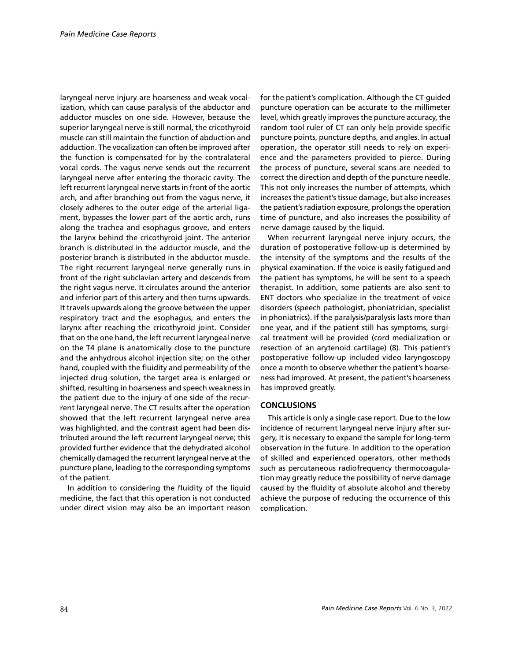laryngeal nerve injury are hoarseness and weak vocalization, which can cause paralysis of the abductor and adductor muscles on one side. However, because the superior laryngeal nerve is still normal, the cricothyroid muscle can still maintain the function of abduction and adduction. The vocalization can often be improved after the function is compensated for by the contralateral vocal cords. The vagus nerve sends out the recurrent laryngeal nerve after entering the thoracic cavity. The left recurrent laryngeal nerve starts in front of the aortic arch, and after branching out from the vagus nerve, it closely adheres to the outer edge of the arterial ligament, bypasses the lower part of the aortic arch, runs along the trachea and esophagus groove, and enters the larynx behind the cricothyroid joint. The anterior branch is distributed in the adductor muscle, and the posterior branch is distributed in the abductor muscle. The right recurrent laryngeal nerve generally runs in front of the right subclavian artery and descends from the right vagus nerve. It circulates around the anterior and inferior part of this artery and then turns upwards. It travels upwards along the groove between the upper respiratory tract and the esophagus, and enters the larynx after reaching the cricothyroid joint. Consider that on the one hand, the left recurrent laryngeal nerve on the T4 plane is anatomically close to the puncture and the anhydrous alcohol injection site; on the other hand, coupled with the fluidity and permeability of the injected drug solution, the target area is enlarged or shifted, resulting in hoarseness and speech weakness in the patient due to the injury of one side of the recurrent laryngeal nerve. The CT results after the operation showed that the left recurrent laryngeal nerve area was highlighted, and the contrast agent had been distributed around the left recurrent laryngeal nerve; this provided further evidence that the dehydrated alcohol chemically damaged the recurrent laryngeal nerve at the puncture plane, leading to the corresponding symptoms of the patient.

In addition to considering the fluidity of the liquid medicine, the fact that this operation is not conducted under direct vision may also be an important reason

for the patient's complication. Although the CT-guided puncture operation can be accurate to the millimeter level, which greatly improves the puncture accuracy, the random tool ruler of CT can only help provide specific puncture points, puncture depths, and angles. In actual operation, the operator still needs to rely on experience and the parameters provided to pierce. During the process of puncture, several scans are needed to correct the direction and depth of the puncture needle. This not only increases the number of attempts, which increases the patient's tissue damage, but also increases the patient's radiation exposure, prolongs the operation time of puncture, and also increases the possibility of nerve damage caused by the liquid.

When recurrent laryngeal nerve injury occurs, the duration of postoperative follow-up is determined by the intensity of the symptoms and the results of the physical examination. If the voice is easily fatigued and the patient has symptoms, he will be sent to a speech therapist. In addition, some patients are also sent to ENT doctors who specialize in the treatment of voice disorders (speech pathologist, phoniatrician, specialist in phoniatrics). If the paralysis/paralysis lasts more than one year, and if the patient still has symptoms, surgical treatment will be provided (cord medialization or resection of an arytenoid cartilage) (8). This patient's postoperative follow-up included video laryngoscopy once a month to observe whether the patient's hoarseness had improved. At present, the patient's hoarseness has improved greatly.

# **CONCLUSIONS**

This article is only a single case report. Due to the low incidence of recurrent laryngeal nerve injury after surgery, it is necessary to expand the sample for long-term observation in the future. In addition to the operation of skilled and experienced operators, other methods such as percutaneous radiofrequency thermocoagulation may greatly reduce the possibility of nerve damage caused by the fluidity of absolute alcohol and thereby achieve the purpose of reducing the occurrence of this complication.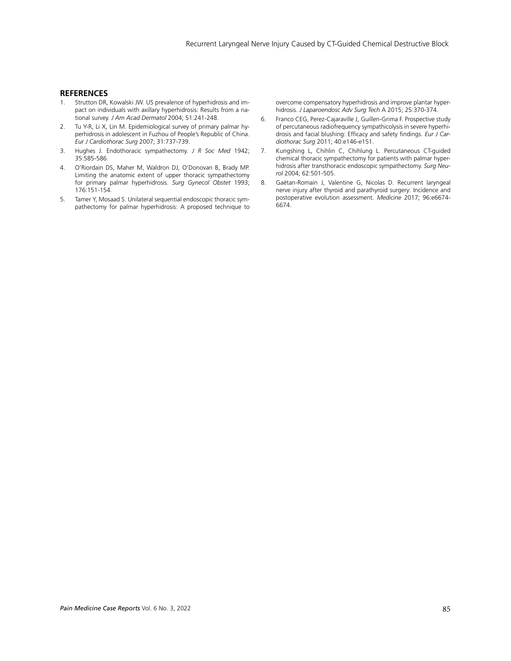#### **REFERENCES**

- 1. Strutton DR, Kowalski JW. US prevalence of hyperhidrosis and impact on individuals with axillary hyperhidrosis: Results from a national survey. *J Am Acad Dermatol* 2004; 51:241-248.
- 2. Tu Y-R, Li X, Lin M. Epidemiological survey of primary palmar hyperhidrosis in adolescent in Fuzhou of People's Republic of China. *Eur J Cardiothorac Surg* 2007; 31:737-739.
- 3. Hughes J. Endothoracic sympathectomy. *J R Soc Med* 1942; 35:585-586.
- 4. O'Riordain DS, Maher M, Waldron DJ, O'Donovan B, Brady MP. Limiting the anatomic extent of upper thoracic sympathectomy for primary palmar hyperhidrosis. *Surg Gynecol Obstet* 1993; 176:151-154.
- 5. Tamer Y, Mosaad S. Unilateral sequential endoscopic thoracic sympathectomy for palmar hyperhidrosis: A proposed technique to

overcome compensatory hyperhidrosis and improve plantar hyperhidrosis. *J Laparoendosc Adv Surg Tech* A 2015; 25:370-374.

- 6. Franco CEG, Perez-Cajaraville J, Guillen-Grima F. Prospective study of percutaneous radiofrequency sympathicolysis in severe hyperhidrosis and facial blushing: Efficacy and safety findings. *Eur J Cardiothorac Surg* 2011; 40:e146-e151.
- 7. Kungshing L, Chihlin C, Chihlung L. Percutaneous CT-guided chemical thoracic sympathectomy for patients with palmar hyperhidrosis after transthoracic endoscopic sympathectomy. *Surg Neurol* 2004; 62:501-505.
- 8. Gaëtan-Romain J, Valentine G, Nicolas D. Recurrent laryngeal nerve injury after thyroid and parathyroid surgery: Incidence and postoperative evolution assessment. *Medicine* 2017; 96:e6674- 6674.